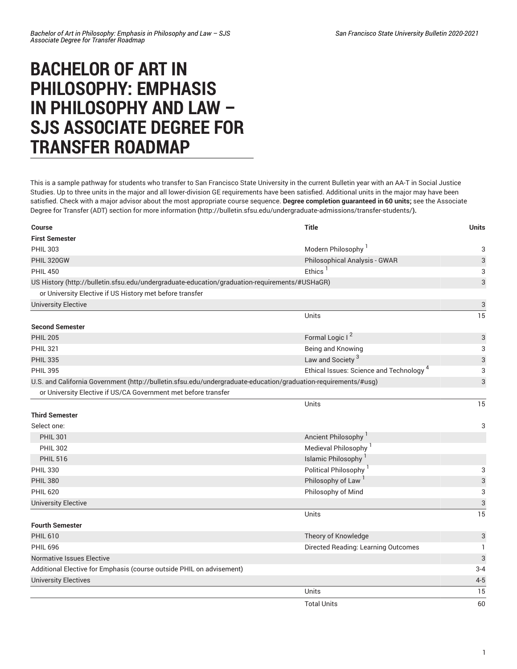# **BACHELOR OF ART IN PHILOSOPHY: EMPHASIS IN PHILOSOPHY AND LAW – SJS ASSOCIATE DEGREE FOR TRANSFER ROADMAP**

This is a sample pathway for students who transfer to San Francisco State University in the current Bulletin year with an AA-T in Social Justice Studies. Up to three units in the major and all lower-division GE requirements have been satisfied. Additional units in the major may have been satisfied. Check with a major advisor about the most appropriate course sequence. **Degree completion guaranteed in 60 units;** [see the Associate](http://bulletin.sfsu.edu/undergraduate-admissions/transfer-students/) Degree for Transfer (ADT) section for more [information](http://bulletin.sfsu.edu/undergraduate-admissions/transfer-students/) **(**<http://bulletin.sfsu.edu/undergraduate-admissions/transfer-students/>**).**

| <b>Course</b>                                                                                                  | <b>Title</b>                                        | <b>Units</b>              |
|----------------------------------------------------------------------------------------------------------------|-----------------------------------------------------|---------------------------|
| <b>First Semester</b>                                                                                          |                                                     |                           |
| <b>PHIL 303</b>                                                                                                | Modern Philosophy <sup>1</sup>                      | 3                         |
| PHIL 320GW                                                                                                     | Philosophical Analysis - GWAR                       | $\sqrt{3}$                |
| <b>PHIL 450</b>                                                                                                | Ethics <sup>1</sup>                                 | 3                         |
| US History (http://bulletin.sfsu.edu/undergraduate-education/graduation-requirements/#USHaGR)                  |                                                     | 3                         |
| or University Elective if US History met before transfer                                                       |                                                     |                           |
| <b>University Elective</b>                                                                                     |                                                     | 3                         |
|                                                                                                                | Units                                               | 15                        |
| <b>Second Semester</b>                                                                                         |                                                     |                           |
| <b>PHIL 205</b>                                                                                                | Formal Logic I <sup>2</sup>                         | $\ensuremath{\mathsf{3}}$ |
| <b>PHIL 321</b>                                                                                                | Being and Knowing                                   | 3                         |
| <b>PHIL 335</b>                                                                                                | Law and Society <sup>3</sup>                        | $\mathbf{3}$              |
| <b>PHIL 395</b>                                                                                                | Ethical Issues: Science and Technology <sup>4</sup> | 3                         |
| U.S. and California Government (http://bulletin.sfsu.edu/undergraduate-education/graduation-requirements/#usg) |                                                     | $\sqrt{3}$                |
| or University Elective if US/CA Government met before transfer                                                 |                                                     |                           |
|                                                                                                                | Units                                               | 15                        |
| <b>Third Semester</b>                                                                                          |                                                     |                           |
| Select one:                                                                                                    |                                                     | 3                         |
| <b>PHIL 301</b>                                                                                                | Ancient Philosophy <sup>1</sup>                     |                           |
| <b>PHIL 302</b>                                                                                                | Medieval Philosophy <sup>1</sup>                    |                           |
| <b>PHIL 516</b>                                                                                                | Islamic Philosophy <sup>1</sup>                     |                           |
| <b>PHIL 330</b>                                                                                                | Political Philosophy <sup>1</sup>                   | 3                         |
| <b>PHIL 380</b>                                                                                                | Philosophy of Law <sup>1</sup>                      | 3                         |
| <b>PHIL 620</b>                                                                                                | Philosophy of Mind                                  | 3                         |
| <b>University Elective</b>                                                                                     |                                                     | $\sqrt{3}$                |
|                                                                                                                | Units                                               | 15                        |
| <b>Fourth Semester</b>                                                                                         |                                                     |                           |
| <b>PHIL 610</b>                                                                                                | Theory of Knowledge                                 | 3                         |
| <b>PHIL 696</b>                                                                                                | Directed Reading: Learning Outcomes                 | 1                         |
| <b>Normative Issues Elective</b>                                                                               |                                                     | $\mathbf{3}$              |
| Additional Elective for Emphasis (course outside PHIL on advisement)                                           |                                                     | $3 - 4$                   |
| <b>University Electives</b>                                                                                    |                                                     | $4 - 5$                   |
|                                                                                                                | Units                                               | 15                        |
|                                                                                                                | <b>Total Units</b>                                  | 60                        |